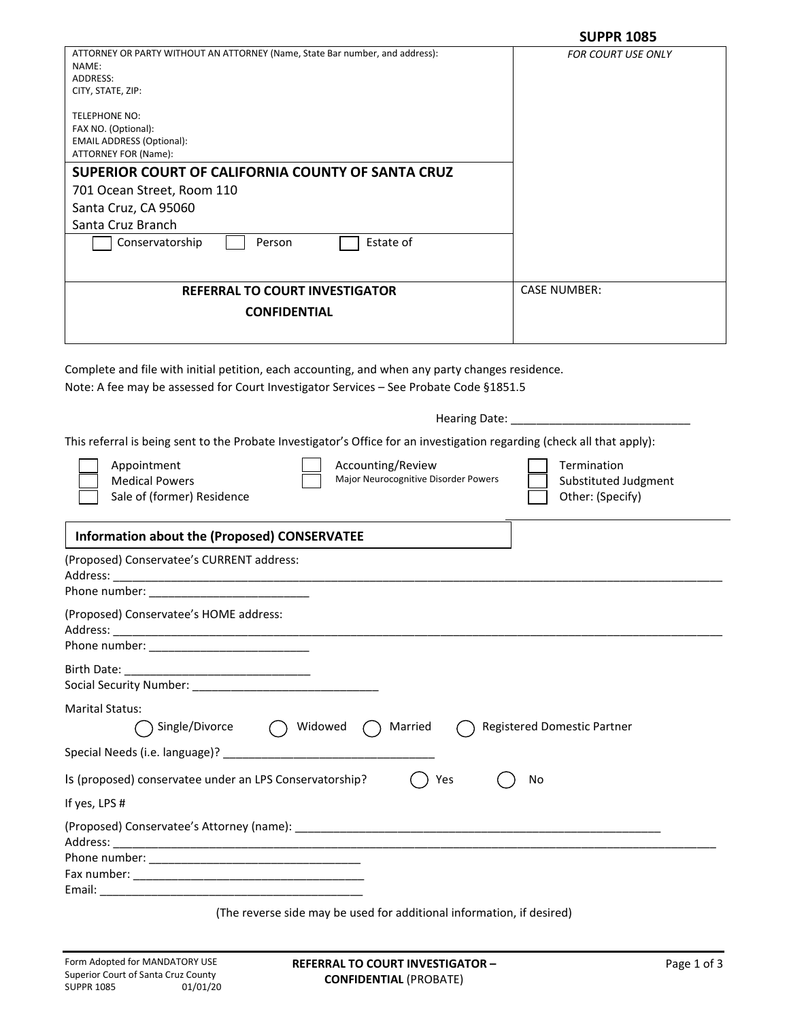|                                                                                                                                                                                           | <b>SUPPR 1085</b>                                       |
|-------------------------------------------------------------------------------------------------------------------------------------------------------------------------------------------|---------------------------------------------------------|
| ATTORNEY OR PARTY WITHOUT AN ATTORNEY (Name, State Bar number, and address):<br>NAME:<br>ADDRESS:<br>CITY, STATE, ZIP:                                                                    | <b>FOR COURT USE ONLY</b>                               |
| TELEPHONE NO:<br>FAX NO. (Optional):<br><b>EMAIL ADDRESS (Optional):</b><br>ATTORNEY FOR (Name):                                                                                          |                                                         |
| SUPERIOR COURT OF CALIFORNIA COUNTY OF SANTA CRUZ                                                                                                                                         |                                                         |
| 701 Ocean Street, Room 110                                                                                                                                                                |                                                         |
| Santa Cruz, CA 95060                                                                                                                                                                      |                                                         |
| Santa Cruz Branch<br>Conservatorship<br>Estate of<br>Person                                                                                                                               |                                                         |
|                                                                                                                                                                                           |                                                         |
| <b>REFERRAL TO COURT INVESTIGATOR</b>                                                                                                                                                     | <b>CASE NUMBER:</b>                                     |
| <b>CONFIDENTIAL</b>                                                                                                                                                                       |                                                         |
| Complete and file with initial petition, each accounting, and when any party changes residence.<br>Note: A fee may be assessed for Court Investigator Services - See Probate Code §1851.5 |                                                         |
| This referral is being sent to the Probate Investigator's Office for an investigation regarding (check all that apply):                                                                   |                                                         |
| Accounting/Review<br>Appointment<br>Major Neurocognitive Disorder Powers<br><b>Medical Powers</b><br>Sale of (former) Residence                                                           | Termination<br>Substituted Judgment<br>Other: (Specify) |
| Information about the (Proposed) CONSERVATEE                                                                                                                                              |                                                         |
| (Proposed) Conservatee's CURRENT address:<br>Address: __<br>Phone number:                                                                                                                 |                                                         |
| (Proposed) Conservatee's HOME address:                                                                                                                                                    |                                                         |
|                                                                                                                                                                                           |                                                         |
| <b>Marital Status:</b><br>Single/Divorce $\bigcap$ Widowed $\bigcap$ Married                                                                                                              | Registered Domestic Partner                             |
| Special Needs (i.e. language)?                                                                                                                                                            |                                                         |
| Is (proposed) conservatee under an LPS Conservatorship?<br>Yes                                                                                                                            | No                                                      |
| If yes, LPS #                                                                                                                                                                             |                                                         |
|                                                                                                                                                                                           |                                                         |
|                                                                                                                                                                                           |                                                         |
| Email:                                                                                                                                                                                    |                                                         |

(The reverse side may be used for additional information, if desired)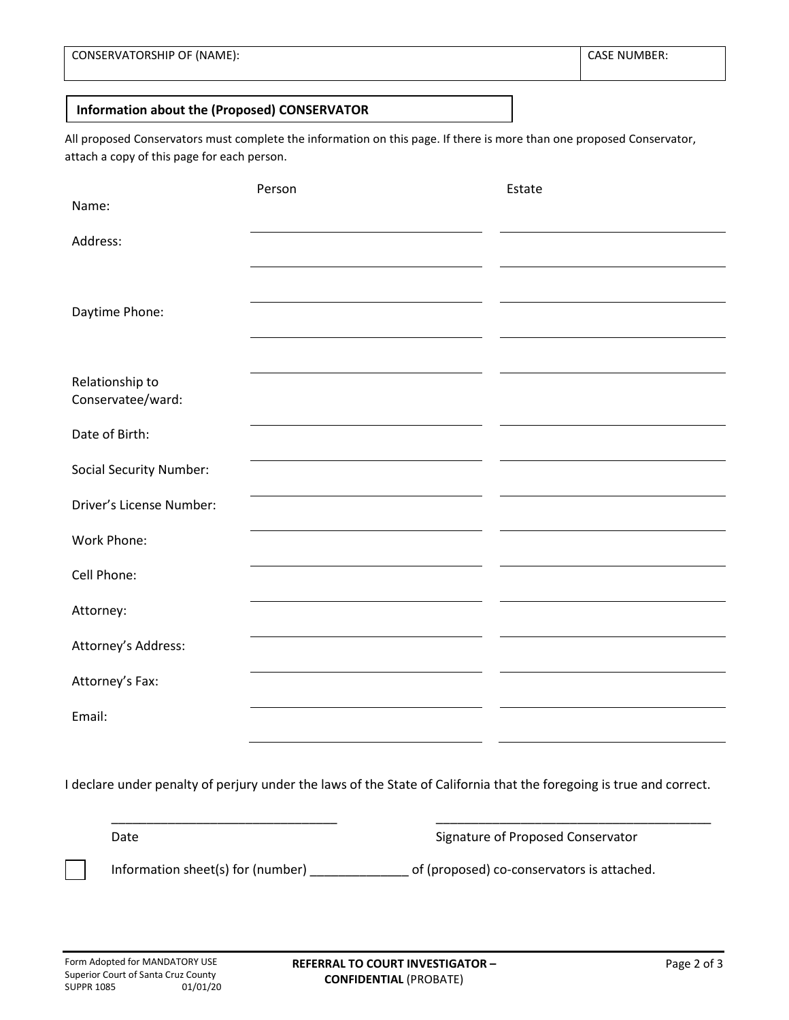**CASE NUMBER:** 

## **Information about the (Proposed) CONSERVATOR**

All proposed Conservators must complete the information on this page. If there is more than one proposed Conservator, attach a copy of this page for each person.

|                                      | Person | Estate |
|--------------------------------------|--------|--------|
| Name:                                |        |        |
| Address:                             |        |        |
|                                      |        |        |
| Daytime Phone:                       |        |        |
|                                      |        |        |
|                                      |        |        |
| Relationship to<br>Conservatee/ward: |        |        |
| Date of Birth:                       |        |        |
|                                      |        |        |
| <b>Social Security Number:</b>       |        |        |
| Driver's License Number:             |        |        |
| Work Phone:                          |        |        |
| Cell Phone:                          |        |        |
|                                      |        |        |
| Attorney:                            |        |        |
| Attorney's Address:                  |        |        |
| Attorney's Fax:                      |        |        |
| Email:                               |        |        |

I declare under penalty of perjury under the laws of the State of California that the foregoing is true and correct.

\_\_\_\_\_\_\_\_\_\_\_\_\_\_\_\_\_\_\_\_\_\_\_\_\_\_\_\_\_\_\_\_ \_\_\_\_\_\_\_\_\_\_\_\_\_\_\_\_\_\_\_\_\_\_\_\_\_\_\_\_\_\_\_\_\_\_\_\_\_\_\_

Date **Signature of Proposed Conservator** 

Information sheet(s) for (number) \_\_\_\_\_\_\_\_\_\_\_\_\_\_ of (proposed) co-conservators is attached.